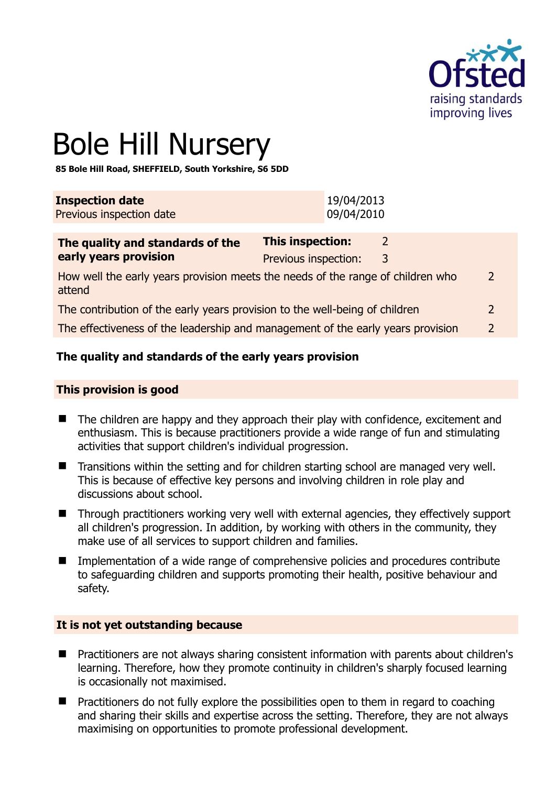

# Bole Hill Nursery

**85 Bole Hill Road, SHEFFIELD, South Yorkshire, S6 5DD** 

| <b>Inspection date</b>   | 19/04/2013 |
|--------------------------|------------|
| Previous inspection date | 09/04/2010 |

| This inspection:     |   |                                                                                                                                                                                                                                                   |
|----------------------|---|---------------------------------------------------------------------------------------------------------------------------------------------------------------------------------------------------------------------------------------------------|
| Previous inspection: | 3 |                                                                                                                                                                                                                                                   |
|                      |   | $\mathcal{P}$                                                                                                                                                                                                                                     |
|                      |   | $\mathcal{L}$                                                                                                                                                                                                                                     |
|                      |   | $\mathcal{P}$                                                                                                                                                                                                                                     |
|                      |   | How well the early years provision meets the needs of the range of children who<br>The contribution of the early years provision to the well-being of children<br>The effectiveness of the leadership and management of the early years provision |

# **The quality and standards of the early years provision**

#### **This provision is good**

- The children are happy and they approach their play with confidence, excitement and enthusiasm. This is because practitioners provide a wide range of fun and stimulating activities that support children's individual progression.
- Transitions within the setting and for children starting school are managed very well. This is because of effective key persons and involving children in role play and discussions about school.
- Through practitioners working very well with external agencies, they effectively support all children's progression. In addition, by working with others in the community, they make use of all services to support children and families.
- Implementation of a wide range of comprehensive policies and procedures contribute to safeguarding children and supports promoting their health, positive behaviour and safety.

#### **It is not yet outstanding because**

- Practitioners are not always sharing consistent information with parents about children's learning. Therefore, how they promote continuity in children's sharply focused learning is occasionally not maximised.
- **Practitioners do not fully explore the possibilities open to them in regard to coaching** and sharing their skills and expertise across the setting. Therefore, they are not always maximising on opportunities to promote professional development.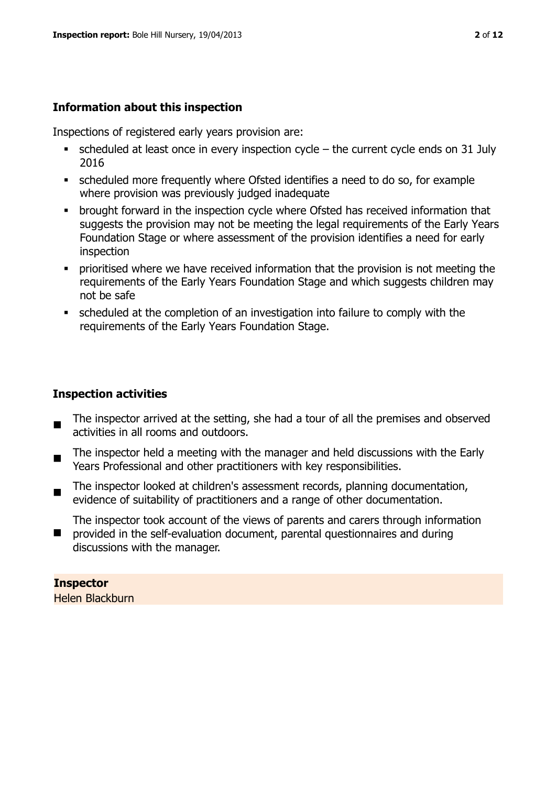#### **Information about this inspection**

Inspections of registered early years provision are:

- $\bullet$  scheduled at least once in every inspection cycle the current cycle ends on 31 July 2016
- scheduled more frequently where Ofsted identifies a need to do so, for example where provision was previously judged inadequate
- **•** brought forward in the inspection cycle where Ofsted has received information that suggests the provision may not be meeting the legal requirements of the Early Years Foundation Stage or where assessment of the provision identifies a need for early inspection
- **•** prioritised where we have received information that the provision is not meeting the requirements of the Early Years Foundation Stage and which suggests children may not be safe
- scheduled at the completion of an investigation into failure to comply with the requirements of the Early Years Foundation Stage.

#### **Inspection activities**

- $\blacksquare$ The inspector arrived at the setting, she had a tour of all the premises and observed activities in all rooms and outdoors.
- $\blacksquare$ The inspector held a meeting with the manager and held discussions with the Early Years Professional and other practitioners with key responsibilities.
- The inspector looked at children's assessment records, planning documentation, evidence of suitability of practitioners and a range of other documentation.

The inspector took account of the views of parents and carers through information

 $\blacksquare$ provided in the self-evaluation document, parental questionnaires and during discussions with the manager.

# **Inspector**

Helen Blackburn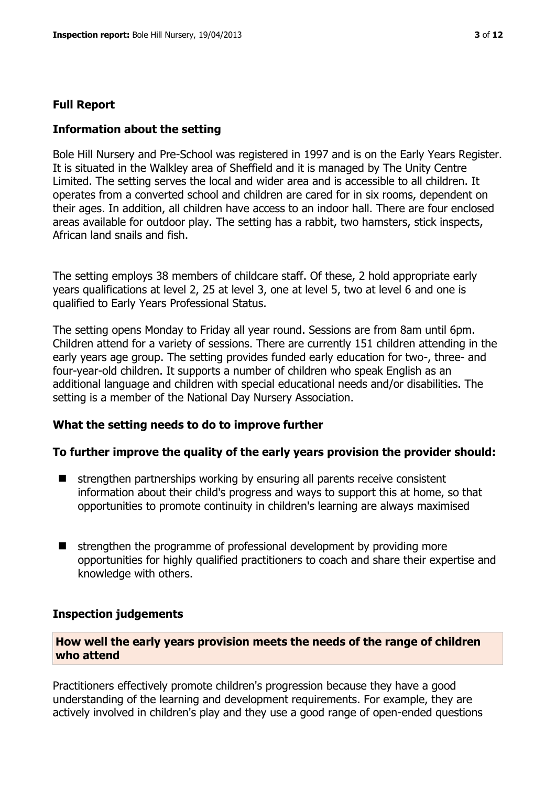#### **Full Report**

#### **Information about the setting**

Bole Hill Nursery and Pre-School was registered in 1997 and is on the Early Years Register. It is situated in the Walkley area of Sheffield and it is managed by The Unity Centre Limited. The setting serves the local and wider area and is accessible to all children. It operates from a converted school and children are cared for in six rooms, dependent on their ages. In addition, all children have access to an indoor hall. There are four enclosed areas available for outdoor play. The setting has a rabbit, two hamsters, stick inspects, African land snails and fish.

The setting employs 38 members of childcare staff. Of these, 2 hold appropriate early years qualifications at level 2, 25 at level 3, one at level 5, two at level 6 and one is qualified to Early Years Professional Status.

The setting opens Monday to Friday all year round. Sessions are from 8am until 6pm. Children attend for a variety of sessions. There are currently 151 children attending in the early years age group. The setting provides funded early education for two-, three- and four-year-old children. It supports a number of children who speak English as an additional language and children with special educational needs and/or disabilities. The setting is a member of the National Day Nursery Association.

#### **What the setting needs to do to improve further**

#### **To further improve the quality of the early years provision the provider should:**

- strengthen partnerships working by ensuring all parents receive consistent information about their child's progress and ways to support this at home, so that opportunities to promote continuity in children's learning are always maximised
- $\blacksquare$  strengthen the programme of professional development by providing more opportunities for highly qualified practitioners to coach and share their expertise and knowledge with others.

#### **Inspection judgements**

## **How well the early years provision meets the needs of the range of children who attend**

Practitioners effectively promote children's progression because they have a good understanding of the learning and development requirements. For example, they are actively involved in children's play and they use a good range of open-ended questions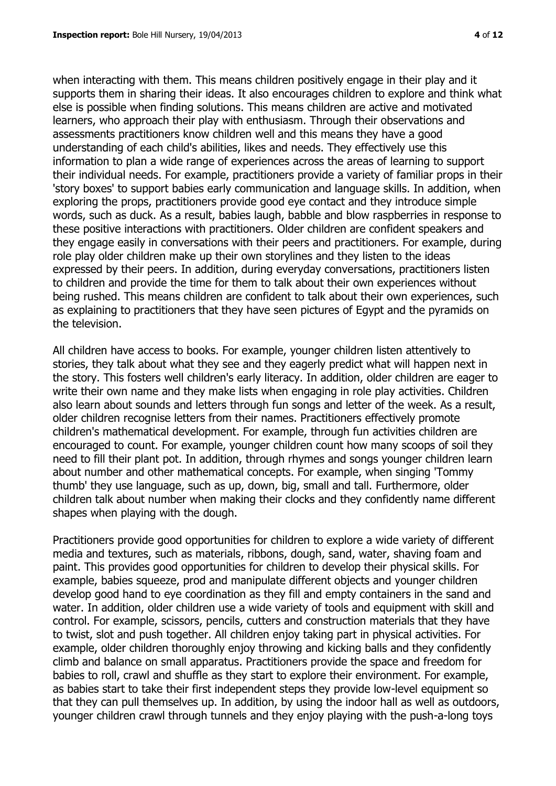when interacting with them. This means children positively engage in their play and it supports them in sharing their ideas. It also encourages children to explore and think what else is possible when finding solutions. This means children are active and motivated learners, who approach their play with enthusiasm. Through their observations and assessments practitioners know children well and this means they have a good understanding of each child's abilities, likes and needs. They effectively use this information to plan a wide range of experiences across the areas of learning to support their individual needs. For example, practitioners provide a variety of familiar props in their 'story boxes' to support babies early communication and language skills. In addition, when exploring the props, practitioners provide good eye contact and they introduce simple words, such as duck. As a result, babies laugh, babble and blow raspberries in response to these positive interactions with practitioners. Older children are confident speakers and they engage easily in conversations with their peers and practitioners. For example, during role play older children make up their own storylines and they listen to the ideas expressed by their peers. In addition, during everyday conversations, practitioners listen to children and provide the time for them to talk about their own experiences without being rushed. This means children are confident to talk about their own experiences, such as explaining to practitioners that they have seen pictures of Egypt and the pyramids on the television.

All children have access to books. For example, younger children listen attentively to stories, they talk about what they see and they eagerly predict what will happen next in the story. This fosters well children's early literacy. In addition, older children are eager to write their own name and they make lists when engaging in role play activities. Children also learn about sounds and letters through fun songs and letter of the week. As a result, older children recognise letters from their names. Practitioners effectively promote children's mathematical development. For example, through fun activities children are encouraged to count. For example, younger children count how many scoops of soil they need to fill their plant pot. In addition, through rhymes and songs younger children learn about number and other mathematical concepts. For example, when singing 'Tommy thumb' they use language, such as up, down, big, small and tall. Furthermore, older children talk about number when making their clocks and they confidently name different shapes when playing with the dough.

Practitioners provide good opportunities for children to explore a wide variety of different media and textures, such as materials, ribbons, dough, sand, water, shaving foam and paint. This provides good opportunities for children to develop their physical skills. For example, babies squeeze, prod and manipulate different objects and younger children develop good hand to eye coordination as they fill and empty containers in the sand and water. In addition, older children use a wide variety of tools and equipment with skill and control. For example, scissors, pencils, cutters and construction materials that they have to twist, slot and push together. All children enjoy taking part in physical activities. For example, older children thoroughly enjoy throwing and kicking balls and they confidently climb and balance on small apparatus. Practitioners provide the space and freedom for babies to roll, crawl and shuffle as they start to explore their environment. For example, as babies start to take their first independent steps they provide low-level equipment so that they can pull themselves up. In addition, by using the indoor hall as well as outdoors, younger children crawl through tunnels and they enjoy playing with the push-a-long toys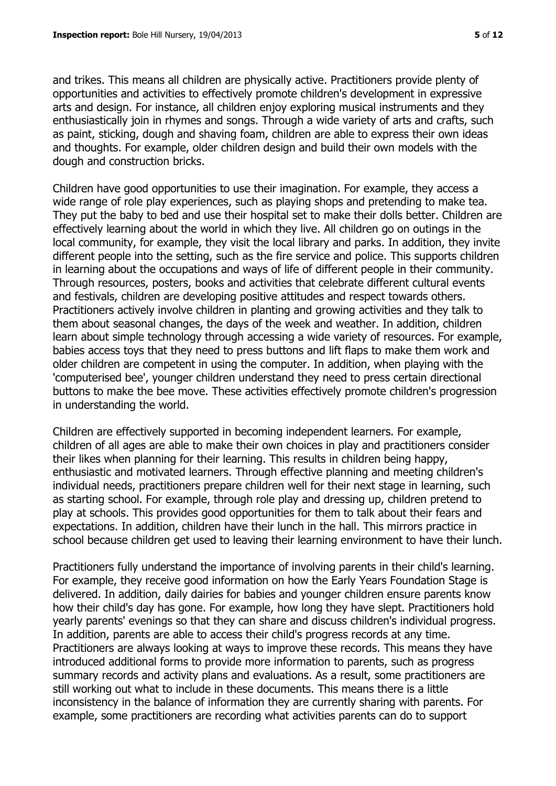and trikes. This means all children are physically active. Practitioners provide plenty of opportunities and activities to effectively promote children's development in expressive arts and design. For instance, all children enjoy exploring musical instruments and they enthusiastically join in rhymes and songs. Through a wide variety of arts and crafts, such as paint, sticking, dough and shaving foam, children are able to express their own ideas and thoughts. For example, older children design and build their own models with the dough and construction bricks.

Children have good opportunities to use their imagination. For example, they access a wide range of role play experiences, such as playing shops and pretending to make tea. They put the baby to bed and use their hospital set to make their dolls better. Children are effectively learning about the world in which they live. All children go on outings in the local community, for example, they visit the local library and parks. In addition, they invite different people into the setting, such as the fire service and police. This supports children in learning about the occupations and ways of life of different people in their community. Through resources, posters, books and activities that celebrate different cultural events and festivals, children are developing positive attitudes and respect towards others. Practitioners actively involve children in planting and growing activities and they talk to them about seasonal changes, the days of the week and weather. In addition, children learn about simple technology through accessing a wide variety of resources. For example, babies access toys that they need to press buttons and lift flaps to make them work and older children are competent in using the computer. In addition, when playing with the 'computerised bee', younger children understand they need to press certain directional buttons to make the bee move. These activities effectively promote children's progression in understanding the world.

Children are effectively supported in becoming independent learners. For example, children of all ages are able to make their own choices in play and practitioners consider their likes when planning for their learning. This results in children being happy, enthusiastic and motivated learners. Through effective planning and meeting children's individual needs, practitioners prepare children well for their next stage in learning, such as starting school. For example, through role play and dressing up, children pretend to play at schools. This provides good opportunities for them to talk about their fears and expectations. In addition, children have their lunch in the hall. This mirrors practice in school because children get used to leaving their learning environment to have their lunch.

Practitioners fully understand the importance of involving parents in their child's learning. For example, they receive good information on how the Early Years Foundation Stage is delivered. In addition, daily dairies for babies and younger children ensure parents know how their child's day has gone. For example, how long they have slept. Practitioners hold yearly parents' evenings so that they can share and discuss children's individual progress. In addition, parents are able to access their child's progress records at any time. Practitioners are always looking at ways to improve these records. This means they have introduced additional forms to provide more information to parents, such as progress summary records and activity plans and evaluations. As a result, some practitioners are still working out what to include in these documents. This means there is a little inconsistency in the balance of information they are currently sharing with parents. For example, some practitioners are recording what activities parents can do to support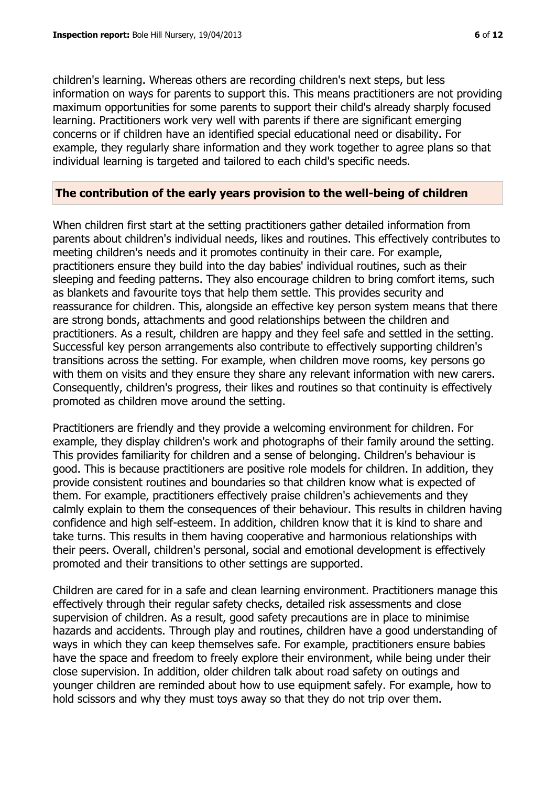children's learning. Whereas others are recording children's next steps, but less information on ways for parents to support this. This means practitioners are not providing maximum opportunities for some parents to support their child's already sharply focused learning. Practitioners work very well with parents if there are significant emerging concerns or if children have an identified special educational need or disability. For example, they regularly share information and they work together to agree plans so that individual learning is targeted and tailored to each child's specific needs.

#### **The contribution of the early years provision to the well-being of children**

When children first start at the setting practitioners gather detailed information from parents about children's individual needs, likes and routines. This effectively contributes to meeting children's needs and it promotes continuity in their care. For example, practitioners ensure they build into the day babies' individual routines, such as their sleeping and feeding patterns. They also encourage children to bring comfort items, such as blankets and favourite toys that help them settle. This provides security and reassurance for children. This, alongside an effective key person system means that there are strong bonds, attachments and good relationships between the children and practitioners. As a result, children are happy and they feel safe and settled in the setting. Successful key person arrangements also contribute to effectively supporting children's transitions across the setting. For example, when children move rooms, key persons go with them on visits and they ensure they share any relevant information with new carers. Consequently, children's progress, their likes and routines so that continuity is effectively promoted as children move around the setting.

Practitioners are friendly and they provide a welcoming environment for children. For example, they display children's work and photographs of their family around the setting. This provides familiarity for children and a sense of belonging. Children's behaviour is good. This is because practitioners are positive role models for children. In addition, they provide consistent routines and boundaries so that children know what is expected of them. For example, practitioners effectively praise children's achievements and they calmly explain to them the consequences of their behaviour. This results in children having confidence and high self-esteem. In addition, children know that it is kind to share and take turns. This results in them having cooperative and harmonious relationships with their peers. Overall, children's personal, social and emotional development is effectively promoted and their transitions to other settings are supported.

Children are cared for in a safe and clean learning environment. Practitioners manage this effectively through their regular safety checks, detailed risk assessments and close supervision of children. As a result, good safety precautions are in place to minimise hazards and accidents. Through play and routines, children have a good understanding of ways in which they can keep themselves safe. For example, practitioners ensure babies have the space and freedom to freely explore their environment, while being under their close supervision. In addition, older children talk about road safety on outings and younger children are reminded about how to use equipment safely. For example, how to hold scissors and why they must toys away so that they do not trip over them.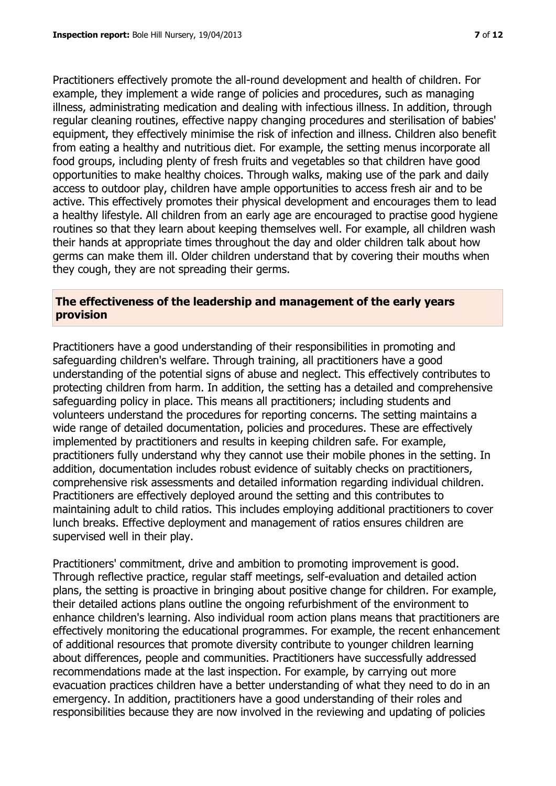Practitioners effectively promote the all-round development and health of children. For example, they implement a wide range of policies and procedures, such as managing illness, administrating medication and dealing with infectious illness. In addition, through regular cleaning routines, effective nappy changing procedures and sterilisation of babies' equipment, they effectively minimise the risk of infection and illness. Children also benefit from eating a healthy and nutritious diet. For example, the setting menus incorporate all food groups, including plenty of fresh fruits and vegetables so that children have good opportunities to make healthy choices. Through walks, making use of the park and daily access to outdoor play, children have ample opportunities to access fresh air and to be active. This effectively promotes their physical development and encourages them to lead a healthy lifestyle. All children from an early age are encouraged to practise good hygiene routines so that they learn about keeping themselves well. For example, all children wash their hands at appropriate times throughout the day and older children talk about how germs can make them ill. Older children understand that by covering their mouths when they cough, they are not spreading their germs.

#### **The effectiveness of the leadership and management of the early years provision**

Practitioners have a good understanding of their responsibilities in promoting and safeguarding children's welfare. Through training, all practitioners have a good understanding of the potential signs of abuse and neglect. This effectively contributes to protecting children from harm. In addition, the setting has a detailed and comprehensive safeguarding policy in place. This means all practitioners; including students and volunteers understand the procedures for reporting concerns. The setting maintains a wide range of detailed documentation, policies and procedures. These are effectively implemented by practitioners and results in keeping children safe. For example, practitioners fully understand why they cannot use their mobile phones in the setting. In addition, documentation includes robust evidence of suitably checks on practitioners, comprehensive risk assessments and detailed information regarding individual children. Practitioners are effectively deployed around the setting and this contributes to maintaining adult to child ratios. This includes employing additional practitioners to cover lunch breaks. Effective deployment and management of ratios ensures children are supervised well in their play.

Practitioners' commitment, drive and ambition to promoting improvement is good. Through reflective practice, regular staff meetings, self-evaluation and detailed action plans, the setting is proactive in bringing about positive change for children. For example, their detailed actions plans outline the ongoing refurbishment of the environment to enhance children's learning. Also individual room action plans means that practitioners are effectively monitoring the educational programmes. For example, the recent enhancement of additional resources that promote diversity contribute to younger children learning about differences, people and communities. Practitioners have successfully addressed recommendations made at the last inspection. For example, by carrying out more evacuation practices children have a better understanding of what they need to do in an emergency. In addition, practitioners have a good understanding of their roles and responsibilities because they are now involved in the reviewing and updating of policies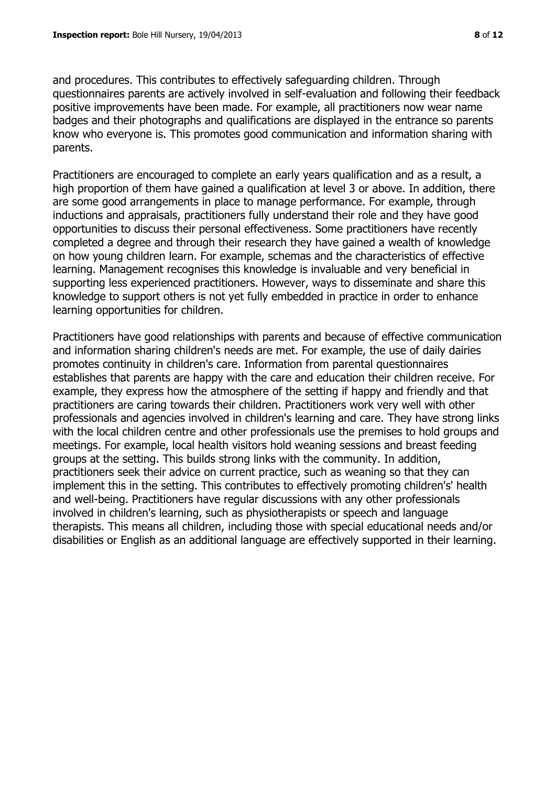and procedures. This contributes to effectively safeguarding children. Through questionnaires parents are actively involved in self-evaluation and following their feedback positive improvements have been made. For example, all practitioners now wear name badges and their photographs and qualifications are displayed in the entrance so parents know who everyone is. This promotes good communication and information sharing with parents.

Practitioners are encouraged to complete an early years qualification and as a result, a high proportion of them have gained a qualification at level 3 or above. In addition, there are some good arrangements in place to manage performance. For example, through inductions and appraisals, practitioners fully understand their role and they have good opportunities to discuss their personal effectiveness. Some practitioners have recently completed a degree and through their research they have gained a wealth of knowledge on how young children learn. For example, schemas and the characteristics of effective learning. Management recognises this knowledge is invaluable and very beneficial in supporting less experienced practitioners. However, ways to disseminate and share this knowledge to support others is not yet fully embedded in practice in order to enhance learning opportunities for children.

Practitioners have good relationships with parents and because of effective communication and information sharing children's needs are met. For example, the use of daily dairies promotes continuity in children's care. Information from parental questionnaires establishes that parents are happy with the care and education their children receive. For example, they express how the atmosphere of the setting if happy and friendly and that practitioners are caring towards their children. Practitioners work very well with other professionals and agencies involved in children's learning and care. They have strong links with the local children centre and other professionals use the premises to hold groups and meetings. For example, local health visitors hold weaning sessions and breast feeding groups at the setting. This builds strong links with the community. In addition, practitioners seek their advice on current practice, such as weaning so that they can implement this in the setting. This contributes to effectively promoting children's' health and well-being. Practitioners have regular discussions with any other professionals involved in children's learning, such as physiotherapists or speech and language therapists. This means all children, including those with special educational needs and/or disabilities or English as an additional language are effectively supported in their learning.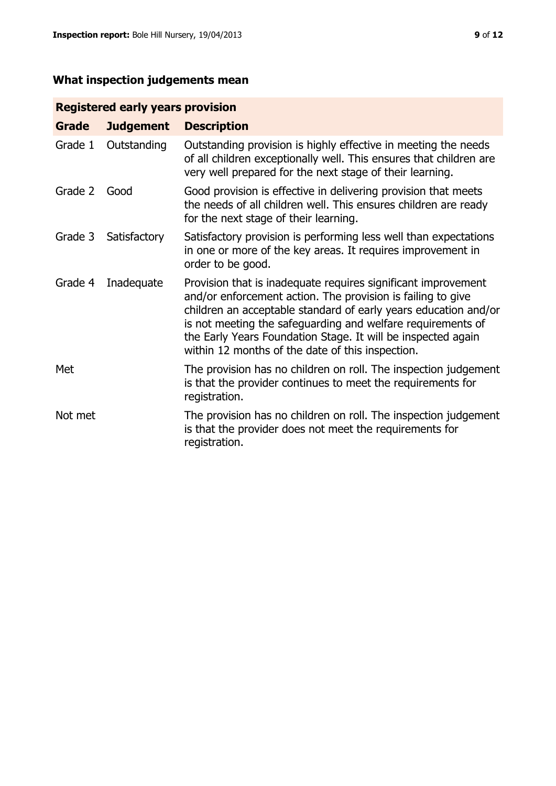# **What inspection judgements mean**

# **Registered early years provision**

| Grade   | <b>Judgement</b> | <b>Description</b>                                                                                                                                                                                                                                                                                                                                                                 |
|---------|------------------|------------------------------------------------------------------------------------------------------------------------------------------------------------------------------------------------------------------------------------------------------------------------------------------------------------------------------------------------------------------------------------|
| Grade 1 | Outstanding      | Outstanding provision is highly effective in meeting the needs<br>of all children exceptionally well. This ensures that children are<br>very well prepared for the next stage of their learning.                                                                                                                                                                                   |
| Grade 2 | Good             | Good provision is effective in delivering provision that meets<br>the needs of all children well. This ensures children are ready<br>for the next stage of their learning.                                                                                                                                                                                                         |
| Grade 3 | Satisfactory     | Satisfactory provision is performing less well than expectations<br>in one or more of the key areas. It requires improvement in<br>order to be good.                                                                                                                                                                                                                               |
| Grade 4 | Inadequate       | Provision that is inadequate requires significant improvement<br>and/or enforcement action. The provision is failing to give<br>children an acceptable standard of early years education and/or<br>is not meeting the safeguarding and welfare requirements of<br>the Early Years Foundation Stage. It will be inspected again<br>within 12 months of the date of this inspection. |
| Met     |                  | The provision has no children on roll. The inspection judgement<br>is that the provider continues to meet the requirements for<br>registration.                                                                                                                                                                                                                                    |
| Not met |                  | The provision has no children on roll. The inspection judgement<br>is that the provider does not meet the requirements for<br>registration.                                                                                                                                                                                                                                        |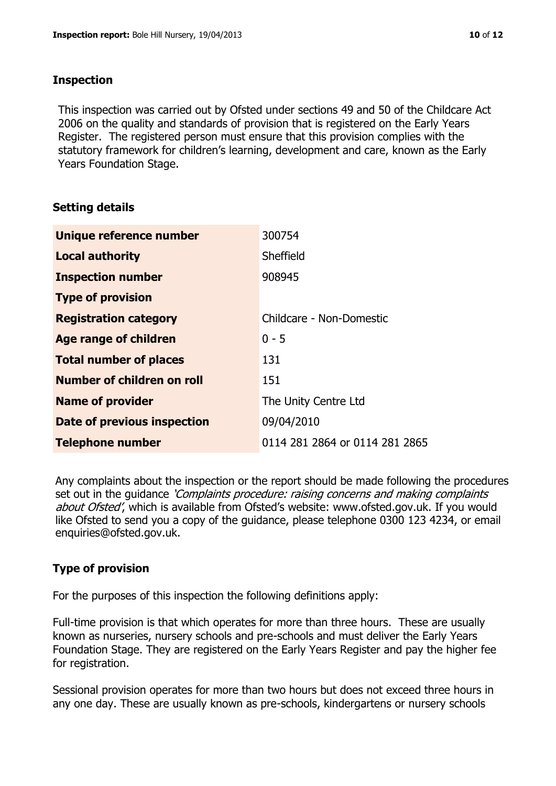## **Inspection**

This inspection was carried out by Ofsted under sections 49 and 50 of the Childcare Act 2006 on the quality and standards of provision that is registered on the Early Years Register. The registered person must ensure that this provision complies with the statutory framework for children's learning, development and care, known as the Early Years Foundation Stage.

# **Setting details**

| Unique reference number       | 300754                         |
|-------------------------------|--------------------------------|
| <b>Local authority</b>        | Sheffield                      |
| <b>Inspection number</b>      | 908945                         |
| <b>Type of provision</b>      |                                |
| <b>Registration category</b>  | Childcare - Non-Domestic       |
| <b>Age range of children</b>  | $0 - 5$                        |
| <b>Total number of places</b> | 131                            |
| Number of children on roll    | 151                            |
| <b>Name of provider</b>       | The Unity Centre Ltd           |
| Date of previous inspection   | 09/04/2010                     |
| <b>Telephone number</b>       | 0114 281 2864 or 0114 281 2865 |

Any complaints about the inspection or the report should be made following the procedures set out in the guidance *'Complaints procedure: raising concerns and making complaints* about Ofsted', which is available from Ofsted's website: www.ofsted.gov.uk. If you would like Ofsted to send you a copy of the guidance, please telephone 0300 123 4234, or email enquiries@ofsted.gov.uk.

# **Type of provision**

For the purposes of this inspection the following definitions apply:

Full-time provision is that which operates for more than three hours. These are usually known as nurseries, nursery schools and pre-schools and must deliver the Early Years Foundation Stage. They are registered on the Early Years Register and pay the higher fee for registration.

Sessional provision operates for more than two hours but does not exceed three hours in any one day. These are usually known as pre-schools, kindergartens or nursery schools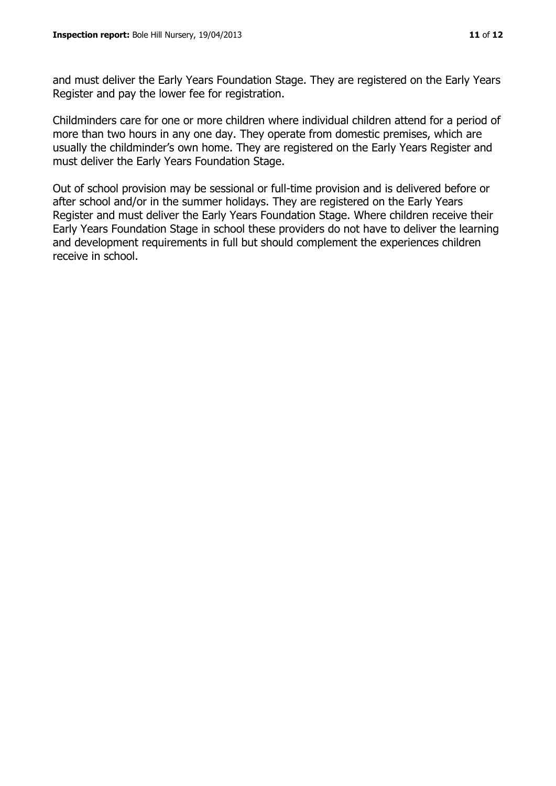and must deliver the Early Years Foundation Stage. They are registered on the Early Years Register and pay the lower fee for registration.

Childminders care for one or more children where individual children attend for a period of more than two hours in any one day. They operate from domestic premises, which are usually the childminder's own home. They are registered on the Early Years Register and must deliver the Early Years Foundation Stage.

Out of school provision may be sessional or full-time provision and is delivered before or after school and/or in the summer holidays. They are registered on the Early Years Register and must deliver the Early Years Foundation Stage. Where children receive their Early Years Foundation Stage in school these providers do not have to deliver the learning and development requirements in full but should complement the experiences children receive in school.